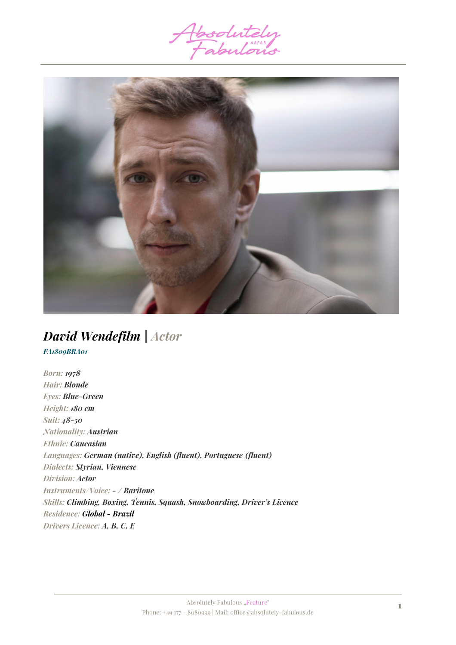



# *David Wendefilm | Actor*

*FA1809BRA01*

*Born: 1978 Hair: Blonde Eyes: Blue-Green Height: 180 cm Suit: 48-50 Nationality: Austrian Ethnic: Caucasian Languages: German (native), English (fluent), Portuguese (fluent) Dialects: Styrian, Viennese Division: Actor Instruments/Voice: - / Baritone Skills: Climbing, Boxing, Tennis, Squash, Snowboarding, Driver's Licence Residence: Global - Brazil Drivers Licence: A, B, C, E*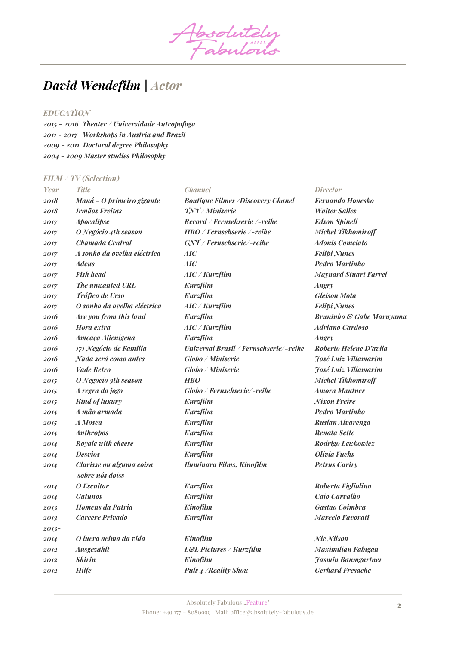Absolutely

## *David Wendefilm | Actor*

## *EDUCATION*

*2015 - 2016 Theater / Universidade Antropofoga 2011 - 2017 Workshops in Austria and Brazil 2009 - 2011 Doctoral degree Philosophy 2004 - 2009 Master studies Philosophy*

#### *FILM / TV (Selection)*

| Year    | <b>Title</b>                                | <b>Channel</b>                           | <i>Director</i>              |
|---------|---------------------------------------------|------------------------------------------|------------------------------|
| 2018    | Mauá - O primeiro gigante                   | <b>Boutique Filmes /Discovery Chanel</b> | <b>Fernando Honesko</b>      |
| 2018    | <b>Irmãos Freitas</b>                       | TNT/Miniserie                            | <b>Walter Salles</b>         |
| 2017    | <b>Apocalipse</b>                           | Record / Fernsehserie /-reihe            | <b>Edson Spinell</b>         |
| 2017    | O Negócio 4th season                        | HBO / Fernsehserie /-reihe               | <b>Michel Tikhomiroff</b>    |
| 2017    | Chamada Central                             | GNT / Fernsehserie/-reihe                | <b>Adonis Comelato</b>       |
| 2017    | A sonho da ovelha eléctrica                 | AIC                                      | <b>Felipi Nunes</b>          |
| 2017    | <b>Adeus</b>                                | AIC                                      | <b>Pedro Martinho</b>        |
| 2017    | <b>Fish head</b>                            | $AIC$ / $Kurzfilm$                       | <b>Maynard Stuart Farrel</b> |
| 2017    | The unwanted URL                            | <b>Kurzfilm</b>                          | <b>Angry</b>                 |
| 2017    | Tráfico de Urso                             | <b>Kurzfilm</b>                          | <b>Gleison Mota</b>          |
| 2017    | O sonho da ovelha eléctrica                 | $AIC$ / $Kurzfilm$                       | <b>Felipi Nunes</b>          |
| 2016    | Are you from this land                      | <b>Kurzfilm</b>                          | Bruninho & Gabe Maruyama     |
| 2016    | Hora extra                                  | $AIC$ / $Kurzfilm$                       | <b>Adriano Cardoso</b>       |
| 2016    | Ameaça Alienígena                           | <b>Kurzfilm</b>                          | <i>Angry</i>                 |
| 2016    | 171 Negócio de Familia                      | Universal Brasil / Fernsehserie/-reihe   | Roberto Helene D'avila       |
| 2016    | Nada será como antes                        | <b>Globo / Miniserie</b>                 | <b>Fosé Luiz Villamarim</b>  |
| 2016    | <b>Vade Retro</b>                           | <b>Globo</b> / Miniserie                 | <b>José Luiz Villamarim</b>  |
| 2015    | O Negocio 3th season                        | <b>HBO</b>                               | <b>Michel Tikhomiroff</b>    |
| 2015    | A regra do jogo                             | Globo / Fernsehserie/-reihe              | <b>Amora Mautner</b>         |
| 2015    | <b>Kind of luxury</b>                       | <b>Kurzfilm</b>                          | <b>Nixon Freire</b>          |
| 2015    | A mão armada                                | <b>Kurzfilm</b>                          | <b>Pedro Martinho</b>        |
| 2015    | A Mosca                                     | <b>Kurzfilm</b>                          | Ruslan Alvarenga             |
| 2015    | <b>Anthropos</b>                            | <b>Kurzfilm</b>                          | <b>Renata Sette</b>          |
| 2014    | Royale with cheese                          | <b>Kurzfilm</b>                          | Rodrigo Lewkowicz            |
| 2014    | <b>Desvios</b>                              | <b>Kurzfilm</b>                          | <b>Olivia Fuchs</b>          |
| 2014    | Clarisse ou alguma coisa<br>sobre nós doiss | Iluminara Films, Kinofilm                | <b>Petrus Cariry</b>         |
| 2014    | O Escultor                                  | <b>Kurzfilm</b>                          | Roberta Figliolino           |
| 2014    | <b>Gatunos</b>                              | <b>Kurzfilm</b>                          | Caio Carvalho                |
| 2013    | <b>Homens da Patria</b>                     | <b>Kinofilm</b>                          | <b>Gastao Coimbra</b>        |
| 2013    | <b>Carcere Privado</b>                      | <b>Kurzfilm</b>                          | Marcelo Favorati             |
| $2013-$ |                                             |                                          |                              |
| 2014    | O lucra acima da vida                       | <b>Kinofilm</b>                          | Nic Nilson                   |
| 2012    | Ausgezählt                                  | <b>L&amp;L Pictures / Kurzfilm</b>       | <b>Maximilian Fabigan</b>    |
| 2012    | <b>Shirin</b>                               | <b>Kinofilm</b>                          | <b>Jasmin Baumgartner</b>    |
| 2012    | <b>Hilfe</b>                                | <b>Puls 4 / Reality Show</b>             | <b>Gerhard Fresache</b>      |
|         |                                             |                                          |                              |